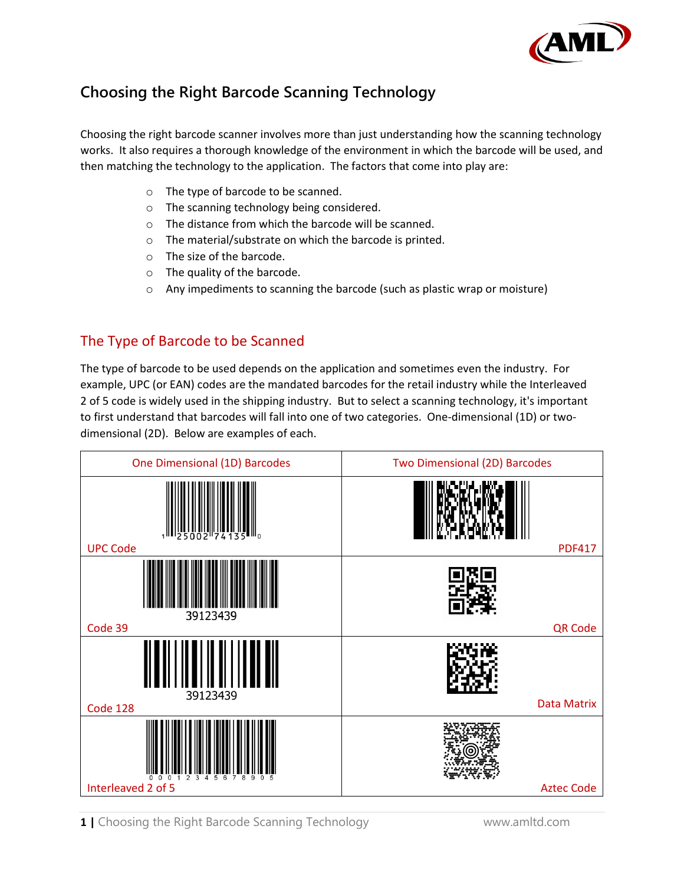

# **Choosing the Right Barcode Scanning Technology**

Choosing the right barcode scanner involves more than just understanding how the scanning technology works. It also requires a thorough knowledge of the environment in which the barcode will be used, and then matching the technology to the application. The factors that come into play are:

- o The type of barcode to be scanned.
- o The scanning technology being considered.
- o The distance from which the barcode will be scanned.
- o The material/substrate on which the barcode is printed.
- o The size of the barcode.
- o The quality of the barcode.
- o Any impediments to scanning the barcode (such as plastic wrap or moisture)

#### The Type of Barcode to be Scanned

The type of barcode to be used depends on the application and sometimes even the industry. For example, UPC (or EAN) codes are the mandated barcodes for the retail industry while the Interleaved 2 of 5 code is widely used in the shipping industry. But to select a scanning technology, it's important to first understand that barcodes will fall into one of two categories. One-dimensional (1D) or twodimensional (2D). Below are examples of each.

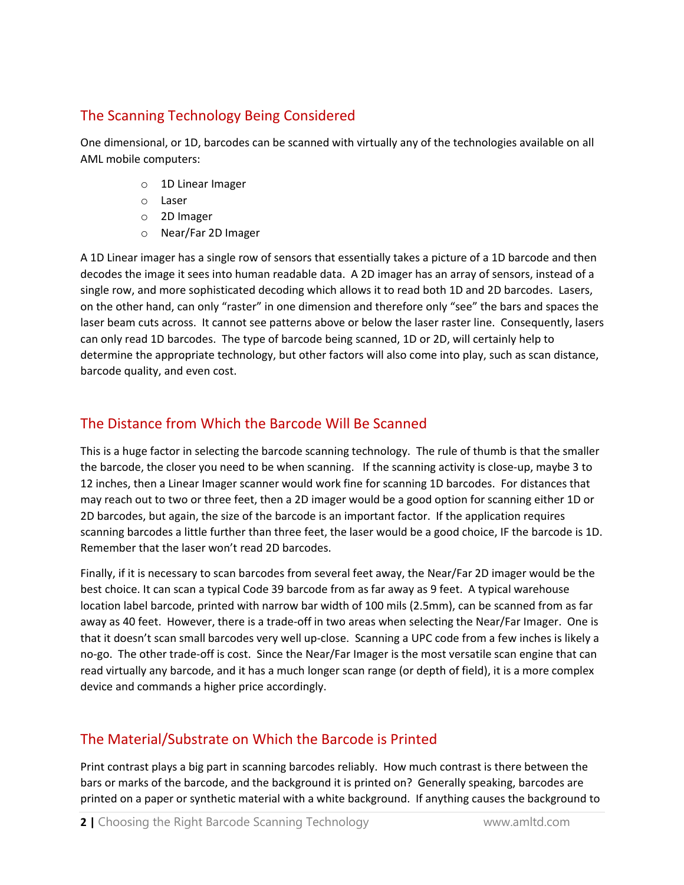# The Scanning Technology Being Considered

One dimensional, or 1D, barcodes can be scanned with virtually any of the technologies available on all AML mobile computers:

- o 1D Linear Imager
- o Laser
- o 2D Imager
- o Near/Far 2D Imager

A 1D Linear imager has a single row of sensors that essentially takes a picture of a 1D barcode and then decodes the image it sees into human readable data. A 2D imager has an array of sensors, instead of a single row, and more sophisticated decoding which allows it to read both 1D and 2D barcodes. Lasers, on the other hand, can only "raster" in one dimension and therefore only "see" the bars and spaces the laser beam cuts across. It cannot see patterns above or below the laser raster line. Consequently, lasers can only read 1D barcodes. The type of barcode being scanned, 1D or 2D, will certainly help to determine the appropriate technology, but other factors will also come into play, such as scan distance, barcode quality, and even cost.

### The Distance from Which the Barcode Will Be Scanned

This is a huge factor in selecting the barcode scanning technology. The rule of thumb is that the smaller the barcode, the closer you need to be when scanning. If the scanning activity is close-up, maybe 3 to 12 inches, then a Linear Imager scanner would work fine for scanning 1D barcodes. For distances that may reach out to two or three feet, then a 2D imager would be a good option for scanning either 1D or 2D barcodes, but again, the size of the barcode is an important factor. If the application requires scanning barcodes a little further than three feet, the laser would be a good choice, IF the barcode is 1D. Remember that the laser won't read 2D barcodes.

Finally, if it is necessary to scan barcodes from several feet away, the Near/Far 2D imager would be the best choice. It can scan a typical Code 39 barcode from as far away as 9 feet. A typical warehouse location label barcode, printed with narrow bar width of 100 mils (2.5mm), can be scanned from as far away as 40 feet. However, there is a trade-off in two areas when selecting the Near/Far Imager. One is that it doesn't scan small barcodes very well up-close. Scanning a UPC code from a few inches is likely a no-go. The other trade-off is cost. Since the Near/Far Imager is the most versatile scan engine that can read virtually any barcode, and it has a much longer scan range (or depth of field), it is a more complex device and commands a higher price accordingly.

#### The Material/Substrate on Which the Barcode is Printed

Print contrast plays a big part in scanning barcodes reliably. How much contrast is there between the bars or marks of the barcode, and the background it is printed on? Generally speaking, barcodes are printed on a paper or synthetic material with a white background. If anything causes the background to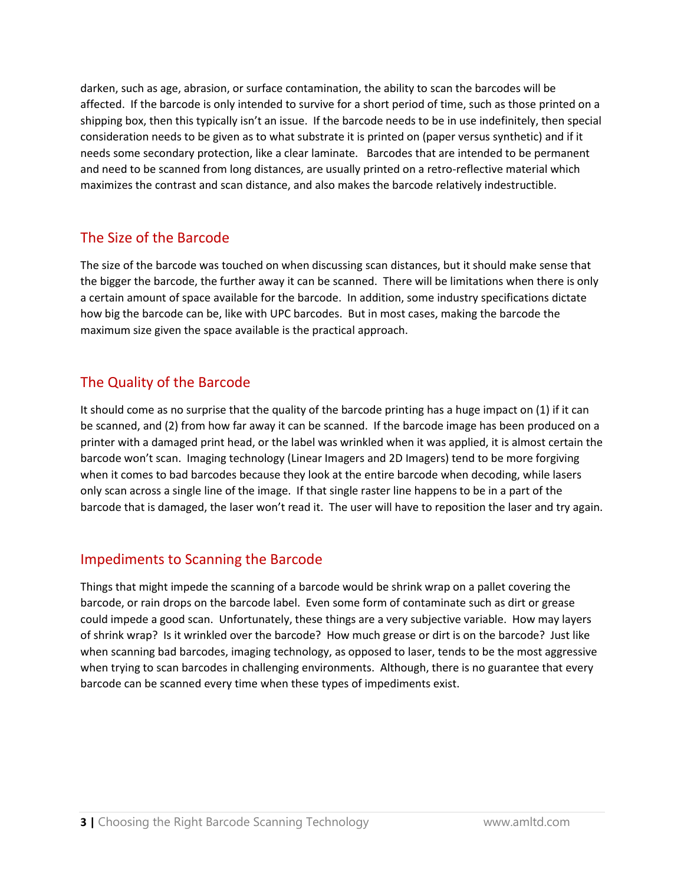darken, such as age, abrasion, or surface contamination, the ability to scan the barcodes will be affected. If the barcode is only intended to survive for a short period of time, such as those printed on a shipping box, then this typically isn't an issue. If the barcode needs to be in use indefinitely, then special consideration needs to be given as to what substrate it is printed on (paper versus synthetic) and if it needs some secondary protection, like a clear laminate. Barcodes that are intended to be permanent and need to be scanned from long distances, are usually printed on a retro-reflective material which maximizes the contrast and scan distance, and also makes the barcode relatively indestructible.

## The Size of the Barcode

The size of the barcode was touched on when discussing scan distances, but it should make sense that the bigger the barcode, the further away it can be scanned. There will be limitations when there is only a certain amount of space available for the barcode. In addition, some industry specifications dictate how big the barcode can be, like with UPC barcodes. But in most cases, making the barcode the maximum size given the space available is the practical approach.

# The Quality of the Barcode

It should come as no surprise that the quality of the barcode printing has a huge impact on (1) if it can be scanned, and (2) from how far away it can be scanned. If the barcode image has been produced on a printer with a damaged print head, or the label was wrinkled when it was applied, it is almost certain the barcode won't scan. Imaging technology (Linear Imagers and 2D Imagers) tend to be more forgiving when it comes to bad barcodes because they look at the entire barcode when decoding, while lasers only scan across a single line of the image. If that single raster line happens to be in a part of the barcode that is damaged, the laser won't read it. The user will have to reposition the laser and try again.

#### Impediments to Scanning the Barcode

Things that might impede the scanning of a barcode would be shrink wrap on a pallet covering the barcode, or rain drops on the barcode label. Even some form of contaminate such as dirt or grease could impede a good scan. Unfortunately, these things are a very subjective variable. How may layers of shrink wrap? Is it wrinkled over the barcode? How much grease or dirt is on the barcode? Just like when scanning bad barcodes, imaging technology, as opposed to laser, tends to be the most aggressive when trying to scan barcodes in challenging environments. Although, there is no guarantee that every barcode can be scanned every time when these types of impediments exist.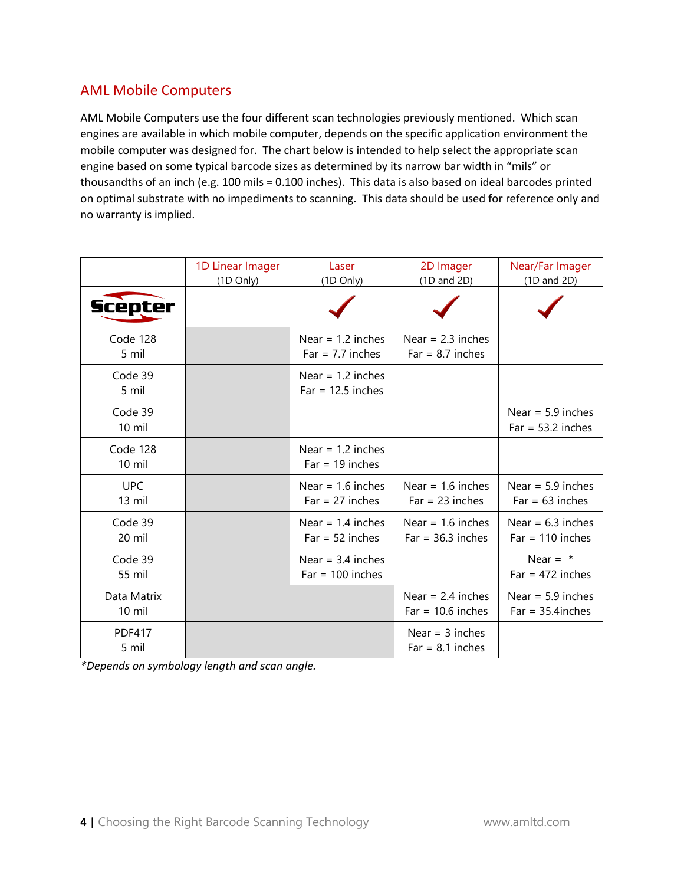## AML Mobile Computers

AML Mobile Computers use the four different scan technologies previously mentioned. Which scan engines are available in which mobile computer, depends on the specific application environment the mobile computer was designed for. The chart below is intended to help select the appropriate scan engine based on some typical barcode sizes as determined by its narrow bar width in "mils" or thousandths of an inch (e.g. 100 mils = 0.100 inches). This data is also based on ideal barcodes printed on optimal substrate with no impediments to scanning. This data should be used for reference only and no warranty is implied.

|                                 | 1D Linear Imager<br>(1D Only) | Laser<br>(1D Only)                         | 2D Imager<br>$(1D \text{ and } 2D)$        | Near/Far Imager<br>$(1D \text{ and } 2D)$  |
|---------------------------------|-------------------------------|--------------------------------------------|--------------------------------------------|--------------------------------------------|
| <b>Scepter</b>                  |                               |                                            |                                            |                                            |
| Code 128<br>5 mil               |                               | Near = $1.2$ inches<br>$Far = 7.7$ inches  | Near = $2.3$ inches<br>$Far = 8.7$ inches  |                                            |
| Code 39<br>5 mil                |                               | Near = $1.2$ inches<br>$Far = 12.5$ inches |                                            |                                            |
| Code 39<br>$10$ mil             |                               |                                            |                                            | Near = $5.9$ inches<br>$Far = 53.2$ inches |
| Code 128<br>$10 \text{ mil}$    |                               | Near = $1.2$ inches<br>$Far = 19$ inches   |                                            |                                            |
| <b>UPC</b><br>13 mil            |                               | Near = $1.6$ inches<br>$Far = 27$ inches   | Near = $1.6$ inches<br>$Far = 23$ inches   | Near = $5.9$ inches<br>$Far = 63$ inches   |
| Code 39<br>20 mil               |                               | Near = $1.4$ inches<br>$Far = 52$ inches   | Near = $1.6$ inches<br>$Far = 36.3$ inches | Near = $6.3$ inches<br>$Far = 110$ inches  |
| Code 39<br>55 mil               |                               | Near = $3.4$ inches<br>$Far = 100$ inches  |                                            | Near = $*$<br>$Far = 472$ inches           |
| Data Matrix<br>$10 \text{ mil}$ |                               |                                            | Near = $2.4$ inches<br>$Far = 10.6$ inches | Near = $5.9$ inches<br>$Far = 35.4$ inches |
| <b>PDF417</b><br>5 mil          |                               |                                            | Near = $3$ inches<br>$Far = 8.1$ inches    |                                            |

*\*Depends on symbology length and scan angle.*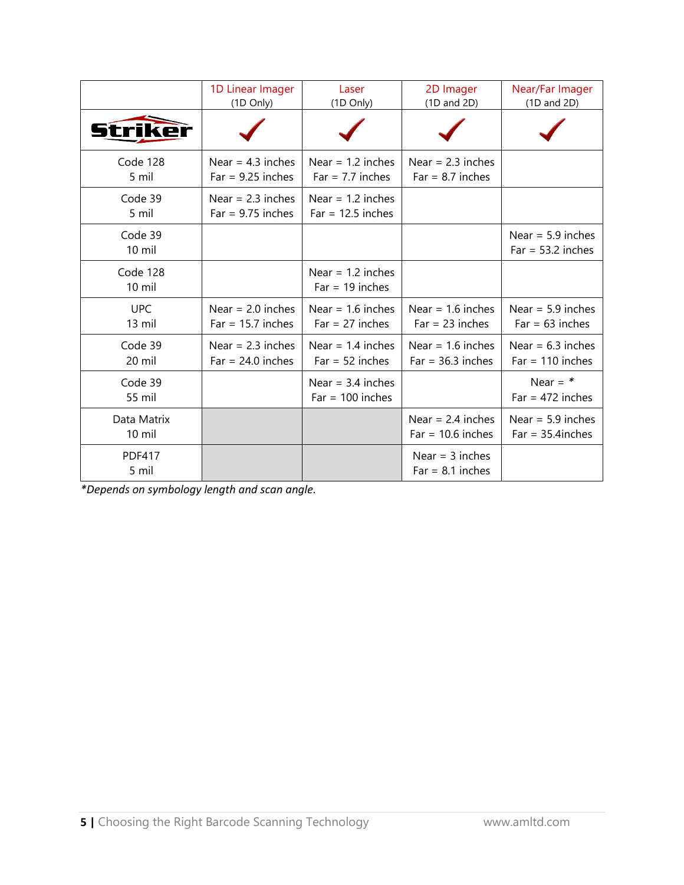|                        | 1D Linear Imager<br>(1D Only)              | Laser<br>(1D Only)                         | 2D Imager<br>$(1D \text{ and } 2D)$        | Near/Far Imager<br>$(1D \text{ and } 2D)$  |
|------------------------|--------------------------------------------|--------------------------------------------|--------------------------------------------|--------------------------------------------|
|                        |                                            |                                            |                                            |                                            |
| Code 128<br>5 mil      | Near = $4.3$ inches<br>$Far = 9.25$ inches | Near = $1.2$ inches<br>$Far = 7.7$ inches  | Near = $2.3$ inches<br>$Far = 8.7$ inches  |                                            |
| Code 39<br>5 mil       | Near = $2.3$ inches<br>$Far = 9.75$ inches | Near = $1.2$ inches<br>$Far = 12.5$ inches |                                            |                                            |
| Code 39<br>10 mil      |                                            |                                            |                                            | Near = $5.9$ inches<br>$Far = 53.2$ inches |
| Code 128<br>10 mil     |                                            | Near = $1.2$ inches<br>$Far = 19$ inches   |                                            |                                            |
| <b>UPC</b><br>13 mil   | Near = $2.0$ inches<br>$Far = 15.7$ inches | Near = $1.6$ inches<br>$Far = 27$ inches   | Near = $1.6$ inches<br>$Far = 23$ inches   | Near = $5.9$ inches<br>$Far = 63$ inches   |
| Code 39<br>20 mil      | Near = $2.3$ inches<br>$Far = 24.0$ inches | Near = $1.4$ inches<br>$Far = 52$ inches   | Near = $1.6$ inches<br>$Far = 36.3$ inches | Near = $6.3$ inches<br>$Far = 110$ inches  |
| Code 39<br>55 mil      |                                            | Near = $3.4$ inches<br>$Far = 100$ inches  |                                            | Near = $*$<br>$Far = 472$ inches           |
| Data Matrix<br>10 mil  |                                            |                                            | Near = $2.4$ inches<br>$Far = 10.6$ inches | Near = $5.9$ inches<br>$Far = 35.4$ inches |
| <b>PDF417</b><br>5 mil |                                            |                                            | Near = $3$ inches<br>$Far = 8.1$ inches    |                                            |

*\*Depends on symbology length and scan angle.*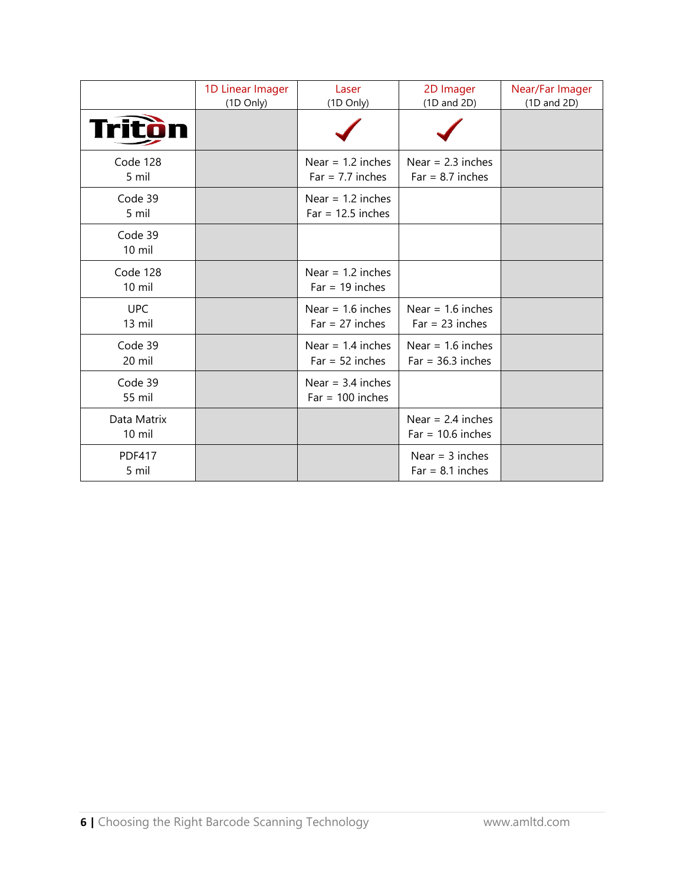|                                 | 1D Linear Imager<br>(1D Only) | Laser<br>(1D Only)                         | 2D Imager<br>$(1D \text{ and } 2D)$        | Near/Far Imager<br>$(1D$ and $2D)$ |
|---------------------------------|-------------------------------|--------------------------------------------|--------------------------------------------|------------------------------------|
| Tritòi                          |                               |                                            |                                            |                                    |
| Code 128<br>5 mil               |                               | Near = $1.2$ inches<br>$Far = 7.7$ inches  | Near = $2.3$ inches<br>$Far = 8.7$ inches  |                                    |
| Code 39<br>5 mil                |                               | Near = $1.2$ inches<br>$Far = 12.5$ inches |                                            |                                    |
| Code 39<br>$10$ mil             |                               |                                            |                                            |                                    |
| Code 128<br>$10$ mil            |                               | Near = $1.2$ inches<br>$Far = 19$ inches   |                                            |                                    |
| <b>UPC</b><br>13 mil            |                               | Near = $1.6$ inches<br>$Far = 27$ inches   | Near = $1.6$ inches<br>$Far = 23$ inches   |                                    |
| Code 39<br>20 mil               |                               | Near = $1.4$ inches<br>$Far = 52$ inches   | Near = $1.6$ inches<br>$Far = 36.3$ inches |                                    |
| Code 39<br>55 mil               |                               | Near = $3.4$ inches<br>$Far = 100$ inches  |                                            |                                    |
| Data Matrix<br>$10 \text{ mil}$ |                               |                                            | Near = $2.4$ inches<br>$Far = 10.6$ inches |                                    |
| <b>PDF417</b><br>5 mil          |                               |                                            | Near = $3$ inches<br>$Far = 8.1$ inches    |                                    |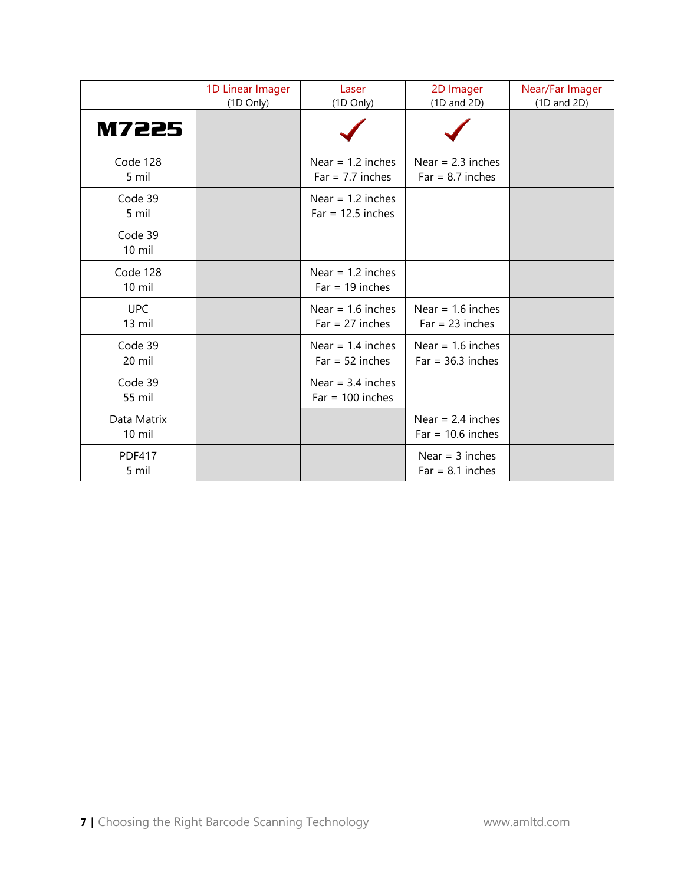|                         | 1D Linear Imager<br>(1D Only) | Laser<br>(1D Only)                         | 2D Imager<br>(1D and 2D)                   | Near/Far Imager<br>$(1D \text{ and } 2D)$ |
|-------------------------|-------------------------------|--------------------------------------------|--------------------------------------------|-------------------------------------------|
| <b>M7225</b>            |                               |                                            |                                            |                                           |
| Code 128<br>5 mil       |                               | Near = $1.2$ inches<br>$Far = 7.7$ inches  | Near = $2.3$ inches<br>$Far = 8.7$ inches  |                                           |
| Code 39<br>5 mil        |                               | Near = $1.2$ inches<br>$Far = 12.5$ inches |                                            |                                           |
| Code 39<br>$10$ mil     |                               |                                            |                                            |                                           |
| Code 128<br>$10$ mil    |                               | Near = $1.2$ inches<br>$Far = 19$ inches   |                                            |                                           |
| <b>UPC</b><br>13 mil    |                               | Near = $1.6$ inches<br>$Far = 27$ inches   | Near = $1.6$ inches<br>$Far = 23 inches$   |                                           |
| Code 39<br>20 mil       |                               | Near = $1.4$ inches<br>$Far = 52$ inches   | Near = $1.6$ inches<br>$Far = 36.3$ inches |                                           |
| Code 39<br>55 mil       |                               | Near = $3.4$ inches<br>$Far = 100$ inches  |                                            |                                           |
| Data Matrix<br>$10$ mil |                               |                                            | Near = $2.4$ inches<br>$Far = 10.6$ inches |                                           |
| <b>PDF417</b><br>5 mil  |                               |                                            | Near = $3$ inches<br>$Far = 8.1$ inches    |                                           |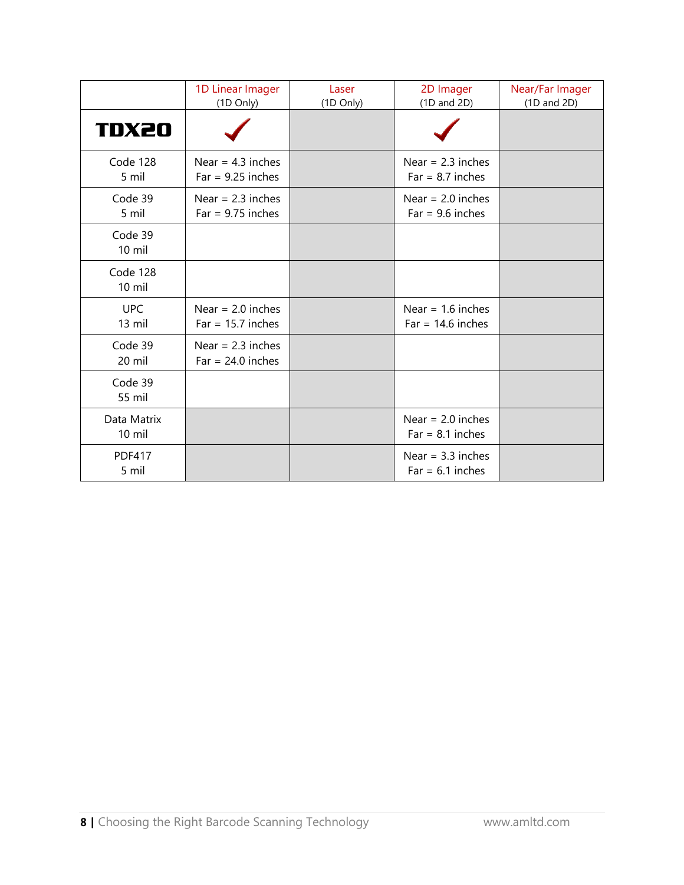|                        | 1D Linear Imager<br>(1D Only)              | Laser<br>(1D Only) | 2D Imager<br>$(1D$ and $2D)$               | Near/Far Imager<br>(1D and 2D) |
|------------------------|--------------------------------------------|--------------------|--------------------------------------------|--------------------------------|
| <b>TDX20</b>           |                                            |                    |                                            |                                |
| Code 128<br>5 mil      | Near = $4.3$ inches<br>$Far = 9.25$ inches |                    | Near = $2.3$ inches<br>$Far = 8.7$ inches  |                                |
| Code 39<br>5 mil       | Near = $2.3$ inches<br>$Far = 9.75$ inches |                    | Near = $2.0$ inches<br>$Far = 9.6$ inches  |                                |
| Code 39<br>10 mil      |                                            |                    |                                            |                                |
| Code 128<br>10 mil     |                                            |                    |                                            |                                |
| <b>UPC</b><br>13 mil   | Near = $2.0$ inches<br>$Far = 15.7$ inches |                    | Near = $1.6$ inches<br>$Far = 14.6$ inches |                                |
| Code 39<br>20 mil      | Near = $2.3$ inches<br>$Far = 24.0$ inches |                    |                                            |                                |
| Code 39<br>55 mil      |                                            |                    |                                            |                                |
| Data Matrix<br>10 mil  |                                            |                    | Near = $2.0$ inches<br>$Far = 8.1$ inches  |                                |
| <b>PDF417</b><br>5 mil |                                            |                    | Near = $3.3$ inches<br>$Far = 6.1$ inches  |                                |